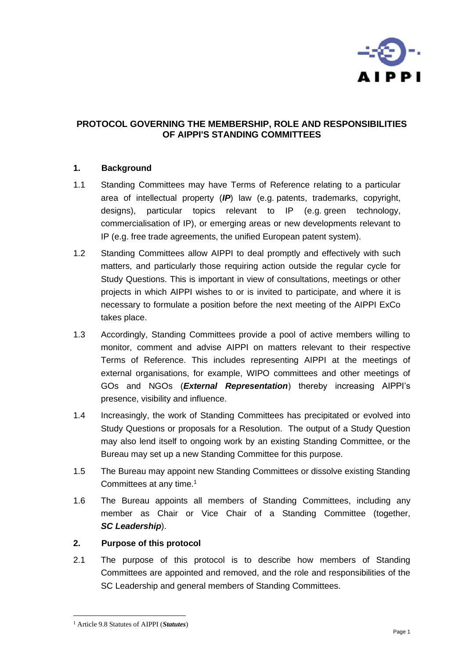

# **PROTOCOL GOVERNING THE MEMBERSHIP, ROLE AND RESPONSIBILITIES OF AIPPI'S STANDING COMMITTEES**

## **1. Background**

- 1.1 Standing Committees may have Terms of Reference relating to a particular area of intellectual property (*IP*) law (e.g. patents, trademarks, copyright, designs), particular topics relevant to IP (e.g. green technology, commercialisation of IP), or emerging areas or new developments relevant to IP (e.g. free trade agreements, the unified European patent system).
- 1.2 Standing Committees allow AIPPI to deal promptly and effectively with such matters, and particularly those requiring action outside the regular cycle for Study Questions. This is important in view of consultations, meetings or other projects in which AIPPI wishes to or is invited to participate, and where it is necessary to formulate a position before the next meeting of the AIPPI ExCo takes place.
- 1.3 Accordingly, Standing Committees provide a pool of active members willing to monitor, comment and advise AIPPI on matters relevant to their respective Terms of Reference. This includes representing AIPPI at the meetings of external organisations, for example, WIPO committees and other meetings of GOs and NGOs (*External Representation*) thereby increasing AIPPI's presence, visibility and influence.
- 1.4 Increasingly, the work of Standing Committees has precipitated or evolved into Study Questions or proposals for a Resolution. The output of a Study Question may also lend itself to ongoing work by an existing Standing Committee, or the Bureau may set up a new Standing Committee for this purpose.
- 1.5 The Bureau may appoint new Standing Committees or dissolve existing Standing Committees at any time.<sup>1</sup>
- 1.6 The Bureau appoints all members of Standing Committees, including any member as Chair or Vice Chair of a Standing Committee (together, *SC Leadership*).

## **2. Purpose of this protocol**

2.1 The purpose of this protocol is to describe how members of Standing Committees are appointed and removed, and the role and responsibilities of the SC Leadership and general members of Standing Committees.

<sup>1</sup> Article 9.8 Statutes of AIPPI (*Statutes*)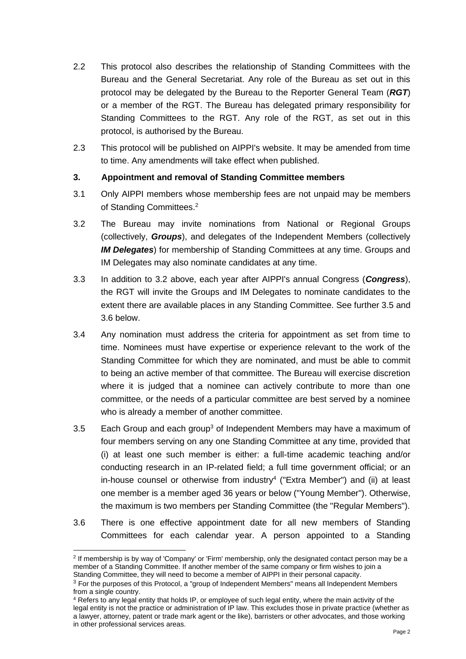- 2.2 This protocol also describes the relationship of Standing Committees with the Bureau and the General Secretariat. Any role of the Bureau as set out in this protocol may be delegated by the Bureau to the Reporter General Team (*RGT*) or a member of the RGT. The Bureau has delegated primary responsibility for Standing Committees to the RGT. Any role of the RGT, as set out in this protocol, is authorised by the Bureau.
- 2.3 This protocol will be published on AIPPI's website. It may be amended from time to time. Any amendments will take effect when published.

# **3. Appointment and removal of Standing Committee members**

- 3.1 Only AIPPI members whose membership fees are not unpaid may be members of Standing Committees.<sup>2</sup>
- 3.2 The Bureau may invite nominations from National or Regional Groups (collectively, *Groups*), and delegates of the Independent Members (collectively *IM Delegates*) for membership of Standing Committees at any time. Groups and IM Delegates may also nominate candidates at any time.
- 3.3 In addition to 3.2 above, each year after AIPPI's annual Congress (*Congress*), the RGT will invite the Groups and IM Delegates to nominate candidates to the extent there are available places in any Standing Committee. See further 3.5 and 3.6 below.
- 3.4 Any nomination must address the criteria for appointment as set from time to time. Nominees must have expertise or experience relevant to the work of the Standing Committee for which they are nominated, and must be able to commit to being an active member of that committee. The Bureau will exercise discretion where it is judged that a nominee can actively contribute to more than one committee, or the needs of a particular committee are best served by a nominee who is already a member of another committee.
- 3.5 Each Group and each group<sup>3</sup> of Independent Members may have a maximum of four members serving on any one Standing Committee at any time, provided that (i) at least one such member is either: a full-time academic teaching and/or conducting research in an IP-related field; a full time government official; or an in-house counsel or otherwise from industry<sup>4</sup> ("Extra Member") and (ii) at least one member is a member aged 36 years or below ("Young Member"). Otherwise, the maximum is two members per Standing Committee (the "Regular Members").
- 3.6 There is one effective appointment date for all new members of Standing Committees for each calendar year. A person appointed to a Standing

<sup>2</sup> If membership is by way of 'Company' or 'Firm' membership, only the designated contact person may be a member of a Standing Committee. If another member of the same company or firm wishes to join a Standing Committee, they will need to become a member of AIPPI in their personal capacity.

<sup>&</sup>lt;sup>3</sup> For the purposes of this Protocol, a "group of Independent Members" means all Independent Members from a single country.

<sup>4</sup> Refers to any legal entity that holds IP, or employee of such legal entity, where the main activity of the legal entity is not the practice or administration of IP law. This excludes those in private practice (whether as a lawyer, attorney, patent or trade mark agent or the like), barristers or other advocates, and those working in other professional services areas.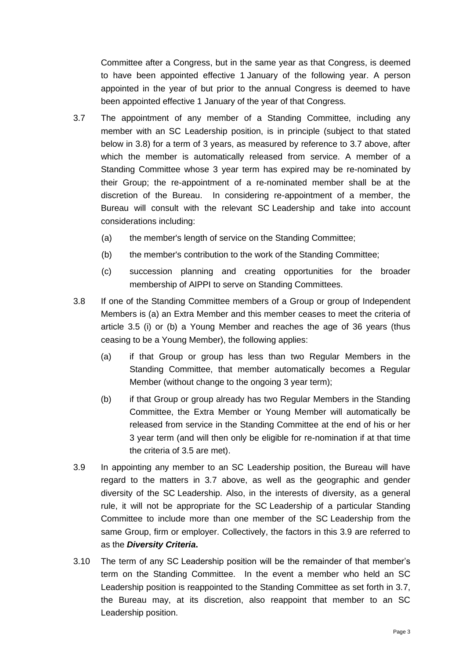Committee after a Congress, but in the same year as that Congress, is deemed to have been appointed effective 1 January of the following year. A person appointed in the year of but prior to the annual Congress is deemed to have been appointed effective 1 January of the year of that Congress.

- 3.7 The appointment of any member of a Standing Committee, including any member with an SC Leadership position, is in principle (subject to that stated below in 3.8) for a term of 3 years, as measured by reference to 3.7 above, after which the member is automatically released from service. A member of a Standing Committee whose 3 year term has expired may be re-nominated by their Group; the re-appointment of a re-nominated member shall be at the discretion of the Bureau. In considering re-appointment of a member, the Bureau will consult with the relevant SC Leadership and take into account considerations including:
	- (a) the member's length of service on the Standing Committee;
	- (b) the member's contribution to the work of the Standing Committee;
	- (c) succession planning and creating opportunities for the broader membership of AIPPI to serve on Standing Committees.
- 3.8 If one of the Standing Committee members of a Group or group of Independent Members is (a) an Extra Member and this member ceases to meet the criteria of article 3.5 (i) or (b) a Young Member and reaches the age of 36 years (thus ceasing to be a Young Member), the following applies:
	- (a) if that Group or group has less than two Regular Members in the Standing Committee, that member automatically becomes a Regular Member (without change to the ongoing 3 year term);
	- (b) if that Group or group already has two Regular Members in the Standing Committee, the Extra Member or Young Member will automatically be released from service in the Standing Committee at the end of his or her 3 year term (and will then only be eligible for re-nomination if at that time the criteria of 3.5 are met).
- 3.9 In appointing any member to an SC Leadership position, the Bureau will have regard to the matters in 3.7 above, as well as the geographic and gender diversity of the SC Leadership. Also, in the interests of diversity, as a general rule, it will not be appropriate for the SC Leadership of a particular Standing Committee to include more than one member of the SC Leadership from the same Group, firm or employer. Collectively, the factors in this 3.9 are referred to as the *Diversity Criteria***.**
- 3.10 The term of any SC Leadership position will be the remainder of that member's term on the Standing Committee. In the event a member who held an SC Leadership position is reappointed to the Standing Committee as set forth in 3.7, the Bureau may, at its discretion, also reappoint that member to an SC Leadership position.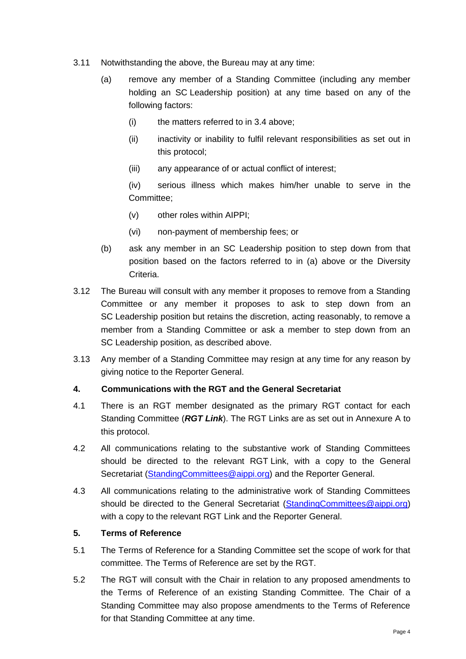- 3.11 Notwithstanding the above, the Bureau may at any time:
	- (a) remove any member of a Standing Committee (including any member holding an SC Leadership position) at any time based on any of the following factors:
		- (i) the matters referred to in 3.4 above;
		- (ii) inactivity or inability to fulfil relevant responsibilities as set out in this protocol;
		- (iii) any appearance of or actual conflict of interest;

(iv) serious illness which makes him/her unable to serve in the Committee;

- (v) other roles within AIPPI;
- (vi) non-payment of membership fees; or
- (b) ask any member in an SC Leadership position to step down from that position based on the factors referred to in (a) above or the Diversity Criteria.
- 3.12 The Bureau will consult with any member it proposes to remove from a Standing Committee or any member it proposes to ask to step down from an SC Leadership position but retains the discretion, acting reasonably, to remove a member from a Standing Committee or ask a member to step down from an SC Leadership position, as described above.
- 3.13 Any member of a Standing Committee may resign at any time for any reason by giving notice to the Reporter General.

## **4. Communications with the RGT and the General Secretariat**

- 4.1 There is an RGT member designated as the primary RGT contact for each Standing Committee (*RGT Link*). The RGT Links are as set out in Annexure A to this protocol.
- 4.2 All communications relating to the substantive work of Standing Committees should be directed to the relevant RGT Link, with a copy to the General Secretariat [\(StandingCommittees@aippi.org\)](mailto:StandingCommittees@aippi.org) and the Reporter General.
- 4.3 All communications relating to the administrative work of Standing Committees should be directed to the General Secretariat [\(StandingCommittees@aippi.org\)](mailto:StandingCommittees@aippi.org) with a copy to the relevant RGT Link and the Reporter General.

## **5. Terms of Reference**

- 5.1 The Terms of Reference for a Standing Committee set the scope of work for that committee. The Terms of Reference are set by the RGT.
- 5.2 The RGT will consult with the Chair in relation to any proposed amendments to the Terms of Reference of an existing Standing Committee. The Chair of a Standing Committee may also propose amendments to the Terms of Reference for that Standing Committee at any time.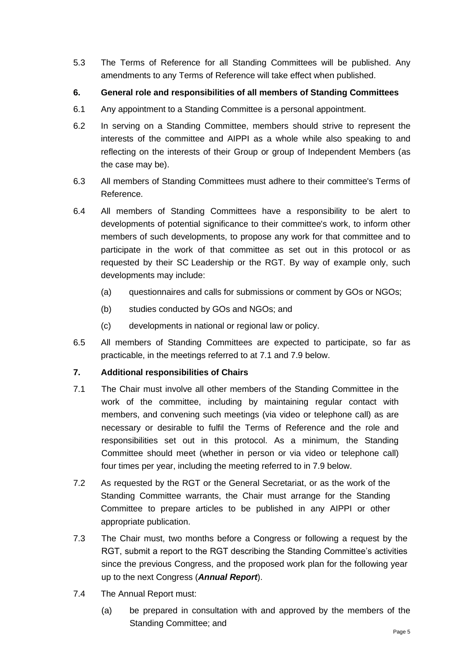5.3 The Terms of Reference for all Standing Committees will be published. Any amendments to any Terms of Reference will take effect when published.

# **6. General role and responsibilities of all members of Standing Committees**

- 6.1 Any appointment to a Standing Committee is a personal appointment.
- 6.2 In serving on a Standing Committee, members should strive to represent the interests of the committee and AIPPI as a whole while also speaking to and reflecting on the interests of their Group or group of Independent Members (as the case may be).
- 6.3 All members of Standing Committees must adhere to their committee's Terms of Reference.
- 6.4 All members of Standing Committees have a responsibility to be alert to developments of potential significance to their committee's work, to inform other members of such developments, to propose any work for that committee and to participate in the work of that committee as set out in this protocol or as requested by their SC Leadership or the RGT. By way of example only, such developments may include:
	- (a) questionnaires and calls for submissions or comment by GOs or NGOs;
	- (b) studies conducted by GOs and NGOs; and
	- (c) developments in national or regional law or policy.
- 6.5 All members of Standing Committees are expected to participate, so far as practicable, in the meetings referred to at 7.1 and 7.9 below.

# **7. Additional responsibilities of Chairs**

- 7.1 The Chair must involve all other members of the Standing Committee in the work of the committee, including by maintaining regular contact with members, and convening such meetings (via video or telephone call) as are necessary or desirable to fulfil the Terms of Reference and the role and responsibilities set out in this protocol. As a minimum, the Standing Committee should meet (whether in person or via video or telephone call) four times per year, including the meeting referred to in 7.9 below.
- 7.2 As requested by the RGT or the General Secretariat, or as the work of the Standing Committee warrants, the Chair must arrange for the Standing Committee to prepare articles to be published in any AIPPI or other appropriate publication.
- 7.3 The Chair must, two months before a Congress or following a request by the RGT, submit a report to the RGT describing the Standing Committee's activities since the previous Congress, and the proposed work plan for the following year up to the next Congress (*Annual Report*).
- 7.4 The Annual Report must:
	- (a) be prepared in consultation with and approved by the members of the Standing Committee; and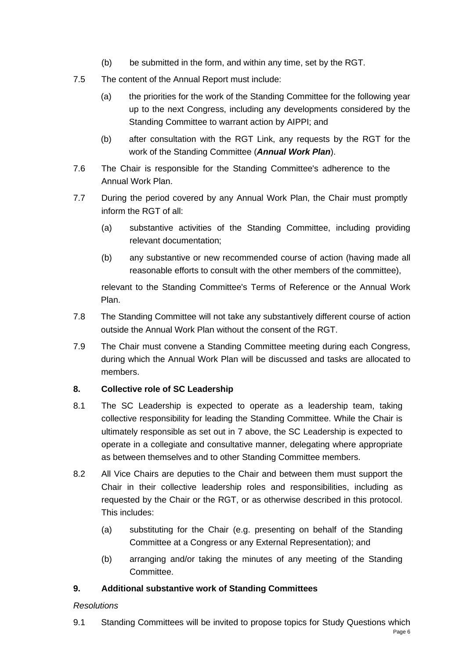- (b) be submitted in the form, and within any time, set by the RGT.
- 7.5 The content of the Annual Report must include:
	- (a) the priorities for the work of the Standing Committee for the following year up to the next Congress, including any developments considered by the Standing Committee to warrant action by AIPPI; and
	- (b) after consultation with the RGT Link, any requests by the RGT for the work of the Standing Committee (*Annual Work Plan*).
- 7.6 The Chair is responsible for the Standing Committee's adherence to the Annual Work Plan.
- 7.7 During the period covered by any Annual Work Plan, the Chair must promptly inform the RGT of all:
	- (a) substantive activities of the Standing Committee, including providing relevant documentation;
	- (b) any substantive or new recommended course of action (having made all reasonable efforts to consult with the other members of the committee),

relevant to the Standing Committee's Terms of Reference or the Annual Work Plan.

- 7.8 The Standing Committee will not take any substantively different course of action outside the Annual Work Plan without the consent of the RGT.
- 7.9 The Chair must convene a Standing Committee meeting during each Congress, during which the Annual Work Plan will be discussed and tasks are allocated to members.

# **8. Collective role of SC Leadership**

- 8.1 The SC Leadership is expected to operate as a leadership team, taking collective responsibility for leading the Standing Committee. While the Chair is ultimately responsible as set out in 7 above, the SC Leadership is expected to operate in a collegiate and consultative manner, delegating where appropriate as between themselves and to other Standing Committee members.
- 8.2 All Vice Chairs are deputies to the Chair and between them must support the Chair in their collective leadership roles and responsibilities, including as requested by the Chair or the RGT, or as otherwise described in this protocol. This includes:
	- (a) substituting for the Chair (e.g. presenting on behalf of the Standing Committee at a Congress or any External Representation); and
	- (b) arranging and/or taking the minutes of any meeting of the Standing Committee.

# **9. Additional substantive work of Standing Committees**

# *Resolutions*

9.1 Standing Committees will be invited to propose topics for Study Questions which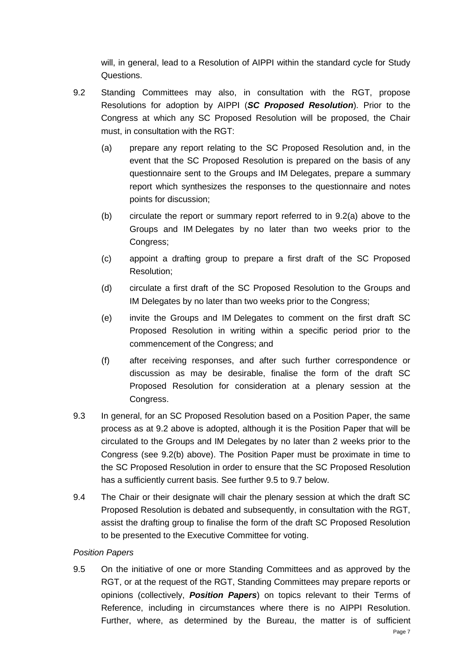will, in general, lead to a Resolution of AIPPI within the standard cycle for Study Questions.

- 9.2 Standing Committees may also, in consultation with the RGT, propose Resolutions for adoption by AIPPI (*SC Proposed Resolution*). Prior to the Congress at which any SC Proposed Resolution will be proposed, the Chair must, in consultation with the RGT:
	- (a) prepare any report relating to the SC Proposed Resolution and, in the event that the SC Proposed Resolution is prepared on the basis of any questionnaire sent to the Groups and IM Delegates, prepare a summary report which synthesizes the responses to the questionnaire and notes points for discussion;
	- (b) circulate the report or summary report referred to in 9.2(a) above to the Groups and IM Delegates by no later than two weeks prior to the Congress;
	- (c) appoint a drafting group to prepare a first draft of the SC Proposed Resolution;
	- (d) circulate a first draft of the SC Proposed Resolution to the Groups and IM Delegates by no later than two weeks prior to the Congress;
	- (e) invite the Groups and IM Delegates to comment on the first draft SC Proposed Resolution in writing within a specific period prior to the commencement of the Congress; and
	- (f) after receiving responses, and after such further correspondence or discussion as may be desirable, finalise the form of the draft SC Proposed Resolution for consideration at a plenary session at the Congress.
- 9.3 In general, for an SC Proposed Resolution based on a Position Paper, the same process as at 9.2 above is adopted, although it is the Position Paper that will be circulated to the Groups and IM Delegates by no later than 2 weeks prior to the Congress (see 9.2(b) above). The Position Paper must be proximate in time to the SC Proposed Resolution in order to ensure that the SC Proposed Resolution has a sufficiently current basis. See further 9.5 to 9.7 below.
- 9.4 The Chair or their designate will chair the plenary session at which the draft SC Proposed Resolution is debated and subsequently, in consultation with the RGT, assist the drafting group to finalise the form of the draft SC Proposed Resolution to be presented to the Executive Committee for voting.

# *Position Papers*

9.5 On the initiative of one or more Standing Committees and as approved by the RGT, or at the request of the RGT, Standing Committees may prepare reports or opinions (collectively, *Position Papers*) on topics relevant to their Terms of Reference, including in circumstances where there is no AIPPI Resolution. Further, where, as determined by the Bureau, the matter is of sufficient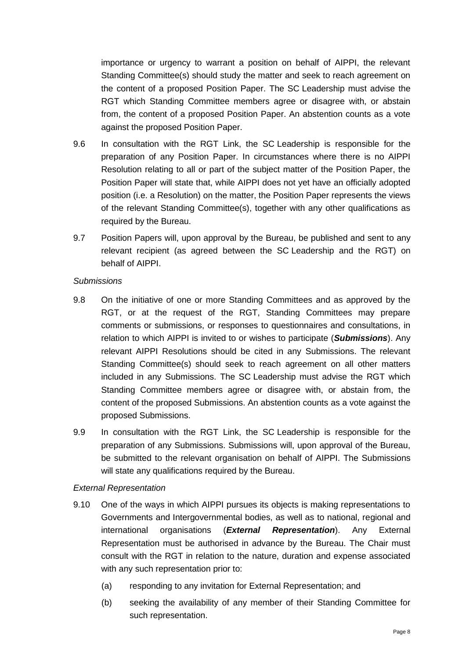importance or urgency to warrant a position on behalf of AIPPI, the relevant Standing Committee(s) should study the matter and seek to reach agreement on the content of a proposed Position Paper. The SC Leadership must advise the RGT which Standing Committee members agree or disagree with, or abstain from, the content of a proposed Position Paper. An abstention counts as a vote against the proposed Position Paper.

- 9.6 In consultation with the RGT Link, the SC Leadership is responsible for the preparation of any Position Paper. In circumstances where there is no AIPPI Resolution relating to all or part of the subject matter of the Position Paper, the Position Paper will state that, while AIPPI does not yet have an officially adopted position (i.e. a Resolution) on the matter, the Position Paper represents the views of the relevant Standing Committee(s), together with any other qualifications as required by the Bureau.
- 9.7 Position Papers will, upon approval by the Bureau, be published and sent to any relevant recipient (as agreed between the SC Leadership and the RGT) on behalf of AIPPI.

## *Submissions*

- 9.8 On the initiative of one or more Standing Committees and as approved by the RGT, or at the request of the RGT, Standing Committees may prepare comments or submissions, or responses to questionnaires and consultations, in relation to which AIPPI is invited to or wishes to participate (*Submissions*). Any relevant AIPPI Resolutions should be cited in any Submissions. The relevant Standing Committee(s) should seek to reach agreement on all other matters included in any Submissions. The SC Leadership must advise the RGT which Standing Committee members agree or disagree with, or abstain from, the content of the proposed Submissions. An abstention counts as a vote against the proposed Submissions.
- 9.9 In consultation with the RGT Link, the SC Leadership is responsible for the preparation of any Submissions. Submissions will, upon approval of the Bureau, be submitted to the relevant organisation on behalf of AIPPI. The Submissions will state any qualifications required by the Bureau.

## *External Representation*

- 9.10 One of the ways in which AIPPI pursues its objects is making representations to Governments and Intergovernmental bodies, as well as to national, regional and international organisations (*External Representation*). Any External Representation must be authorised in advance by the Bureau. The Chair must consult with the RGT in relation to the nature, duration and expense associated with any such representation prior to:
	- (a) responding to any invitation for External Representation; and
	- (b) seeking the availability of any member of their Standing Committee for such representation.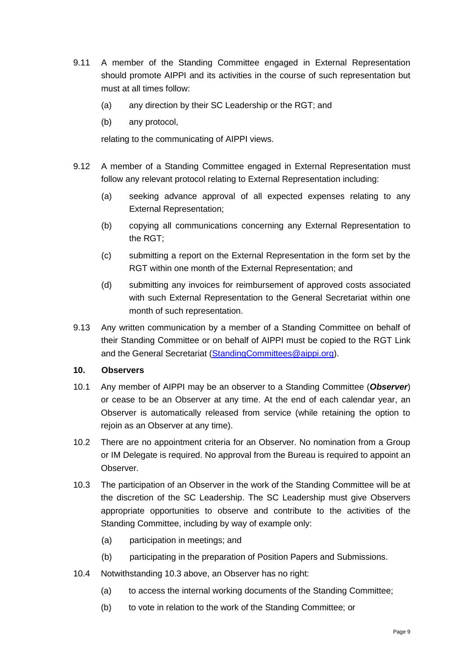- 9.11 A member of the Standing Committee engaged in External Representation should promote AIPPI and its activities in the course of such representation but must at all times follow:
	- (a) any direction by their SC Leadership or the RGT; and
	- (b) any protocol,

relating to the communicating of AIPPI views.

- 9.12 A member of a Standing Committee engaged in External Representation must follow any relevant protocol relating to External Representation including:
	- (a) seeking advance approval of all expected expenses relating to any External Representation;
	- (b) copying all communications concerning any External Representation to the RGT;
	- (c) submitting a report on the External Representation in the form set by the RGT within one month of the External Representation; and
	- (d) submitting any invoices for reimbursement of approved costs associated with such External Representation to the General Secretariat within one month of such representation.
- 9.13 Any written communication by a member of a Standing Committee on behalf of their Standing Committee or on behalf of AIPPI must be copied to the RGT Link and the General Secretariat [\(StandingCommittees@aippi.org\)](mailto:StandingCommittees@aippi.org).

## **10. Observers**

- 10.1 Any member of AIPPI may be an observer to a Standing Committee (*Observer*) or cease to be an Observer at any time. At the end of each calendar year, an Observer is automatically released from service (while retaining the option to rejoin as an Observer at any time).
- 10.2 There are no appointment criteria for an Observer. No nomination from a Group or IM Delegate is required. No approval from the Bureau is required to appoint an Observer.
- 10.3 The participation of an Observer in the work of the Standing Committee will be at the discretion of the SC Leadership. The SC Leadership must give Observers appropriate opportunities to observe and contribute to the activities of the Standing Committee, including by way of example only:
	- (a) participation in meetings; and
	- (b) participating in the preparation of Position Papers and Submissions.
- 10.4 Notwithstanding 10.3 above, an Observer has no right:
	- (a) to access the internal working documents of the Standing Committee;
	- (b) to vote in relation to the work of the Standing Committee; or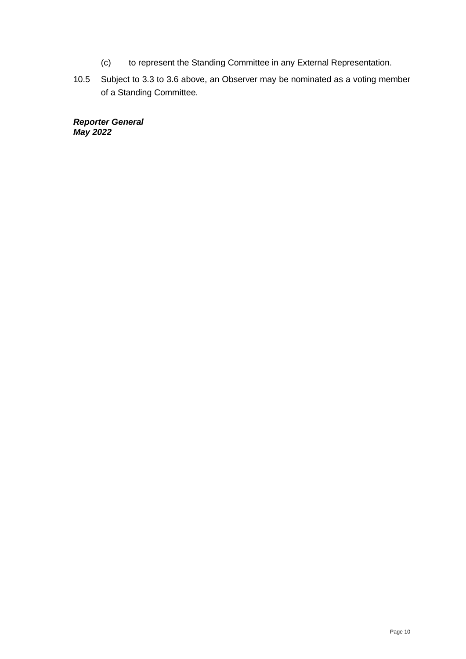- (c) to represent the Standing Committee in any External Representation.
- 10.5 Subject to 3.3 to 3.6 above, an Observer may be nominated as a voting member of a Standing Committee.

*Reporter General May 2022*